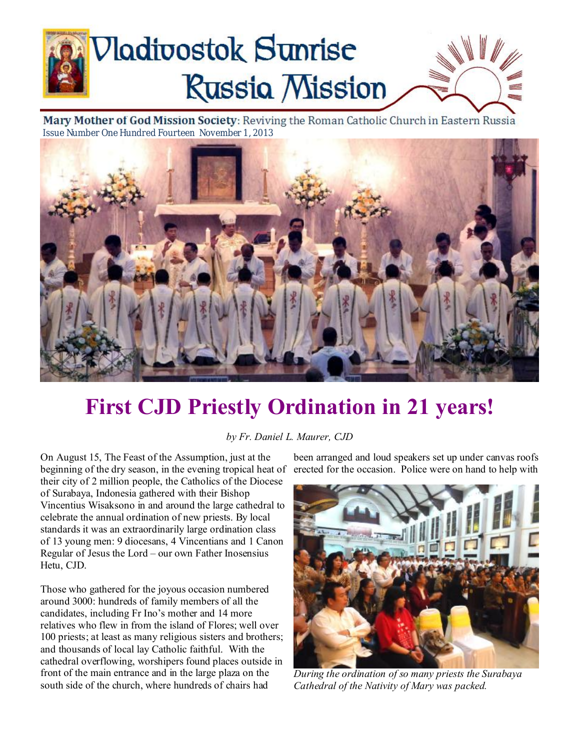# **Nadivostok Sunrise Russia Mission**

Mary Mother of God Mission Society: Reviving the Roman Catholic Church in Eastern Russia Issue Number One Hundred Fourteen November 1, 2013



# **First CJD Priestly Ordination in 21 years!**

*by Fr. Daniel L. Maurer, CJD* 

On August 15, The Feast of the Assumption, just at the beginning of the dry season, in the evening tropical heat of their city of 2 million people, the Catholics of the Diocese of Surabaya, Indonesia gathered with their Bishop Vincentius Wisaksono in and around the large cathedral to celebrate the annual ordination of new priests. By local standards it was an extraordinarily large ordination class of 13 young men: 9 diocesans, 4 Vincentians and 1 Canon Regular of Jesus the Lord – our own Father Inosensius Hetu, CJD.

Those who gathered for the joyous occasion numbered around 3000: hundreds of family members of all the candidates, including Fr Ino's mother and 14 more relatives who flew in from the island of Flores; well over 100 priests; at least as many religious sisters and brothers; and thousands of local lay Catholic faithful. With the cathedral overflowing, worshipers found places outside in front of the main entrance and in the large plaza on the south side of the church, where hundreds of chairs had

been arranged and loud speakers set up under canvas roofs erected for the occasion. Police were on hand to help with



*During the ordination of so many priests the Surabaya Cathedral of the Nativity of Mary was packed.*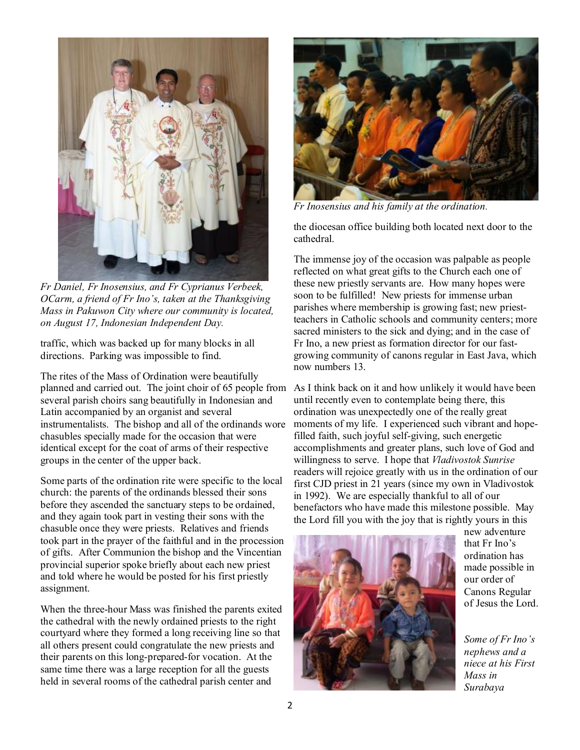

*Fr Daniel, Fr Inosensius, and Fr Cyprianus Verbeek, OCarm, a friend of Fr Ino's, taken at the Thanksgiving Mass in Pakuwon City where our community is located, on August 17, Indonesian Independent Day.* 

traffic, which was backed up for many blocks in all directions. Parking was impossible to find.

The rites of the Mass of Ordination were beautifully planned and carried out. The joint choir of 65 people from As I think back on it and how unlikely it would have been several parish choirs sang beautifully in Indonesian and Latin accompanied by an organist and several instrumentalists. The bishop and all of the ordinands wore chasubles specially made for the occasion that were identical except for the coat of arms of their respective groups in the center of the upper back.

Some parts of the ordination rite were specific to the local church: the parents of the ordinands blessed their sons before they ascended the sanctuary steps to be ordained, and they again took part in vesting their sons with the chasuble once they were priests. Relatives and friends took part in the prayer of the faithful and in the procession of gifts. After Communion the bishop and the Vincentian provincial superior spoke briefly about each new priest and told where he would be posted for his first priestly assignment.

When the three-hour Mass was finished the parents exited the cathedral with the newly ordained priests to the right courtyard where they formed a long receiving line so that all others present could congratulate the new priests and their parents on this long-prepared-for vocation. At the same time there was a large reception for all the guests held in several rooms of the cathedral parish center and



*Fr Inosensius and his family at the ordination.*

the diocesan office building both located next door to the cathedral.

The immense joy of the occasion was palpable as people reflected on what great gifts to the Church each one of these new priestly servants are. How many hopes were soon to be fulfilled! New priests for immense urban parishes where membership is growing fast; new priestteachers in Catholic schools and community centers; more sacred ministers to the sick and dying; and in the case of Fr Ino, a new priest as formation director for our fastgrowing community of canons regular in East Java, which now numbers 13.

until recently even to contemplate being there, this ordination was unexpectedly one of the really great moments of my life. I experienced such vibrant and hopefilled faith, such joyful self-giving, such energetic accomplishments and greater plans, such love of God and willingness to serve. I hope that *Vladivostok Sunrise* readers will rejoice greatly with us in the ordination of our first CJD priest in 21 years (since my own in Vladivostok in 1992). We are especially thankful to all of our benefactors who have made this milestone possible. May the Lord fill you with the joy that is rightly yours in this



new adventure that Fr Ino's ordination has made possible in our order of Canons Regular of Jesus the Lord.

*Some of Fr Ino's nephews and a niece at his First Mass in Surabaya*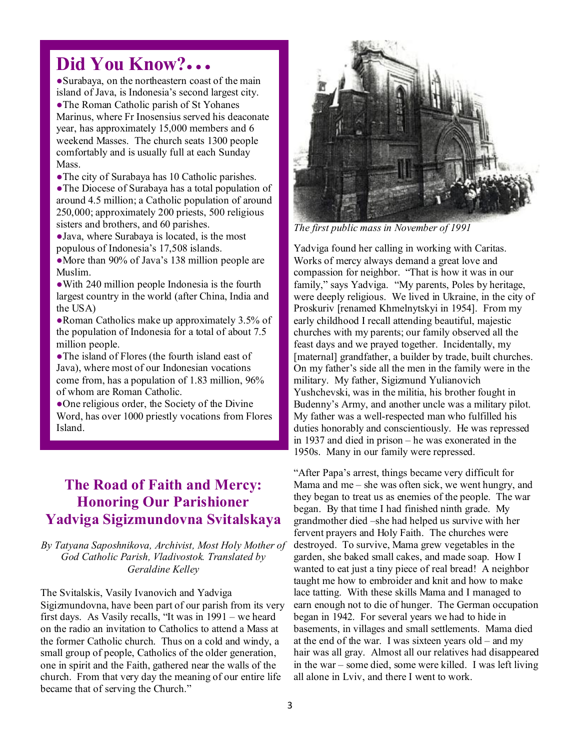## **Did You Know?● ● ●**

●Surabaya, on the northeastern coast of the main island of Java, is Indonesia's second largest city. ●The Roman Catholic parish of St Yohanes Marinus, where Fr Inosensius served his deaconate year, has approximately 15,000 members and 6 weekend Masses. The church seats 1300 people comfortably and is usually full at each Sunday Mass.

●The city of Surabaya has 10 Catholic parishes.

●The Diocese of Surabaya has a total population of around 4.5 million; a Catholic population of around 250,000; approximately 200 priests, 500 religious sisters and brothers, and 60 parishes.

●Java, where Surabaya is located, is the most populous of Indonesia's 17,508 islands.

•More than 90% of Java's 138 million people are Muslim.

• With 240 million people Indonesia is the fourth largest country in the world (after China, India and the USA)

●Roman Catholics make up approximately 3.5% of the population of Indonesia for a total of about 7.5 million people.

●The island of Flores (the fourth island east of Java), where most of our Indonesian vocations come from, has a population of 1.83 million, 96% of whom are Roman Catholic.

• One religious order, the Society of the Divine Word, has over 1000 priestly vocations from Flores Island.

### **The Road of Faith and Mercy: Honoring Our Parishioner Yadviga Sigizmundovna Svitalskaya**

*By Tatyana Saposhnikova, Archivist, Most Holy Mother of God Catholic Parish, Vladivostok. Translated by Geraldine Kelley* 

The Svitalskis, Vasily Ivanovich and Yadviga Sigizmundovna, have been part of our parish from its very first days. As Vasily recalls, "It was in 1991 – we heard on the radio an invitation to Catholics to attend a Mass at the former Catholic church. Thus on a cold and windy, a small group of people, Catholics of the older generation, one in spirit and the Faith, gathered near the walls of the church. From that very day the meaning of our entire life became that of serving the Church."



*The first public mass in November of 1991* 

Yadviga found her calling in working with Caritas. Works of mercy always demand a great love and compassion for neighbor. "That is how it was in our family," says Yadviga. "My parents, Poles by heritage, were deeply religious. We lived in Ukraine, in the city of Proskuriv [renamed Khmelnytskyi in 1954]. From my early childhood I recall attending beautiful, majestic churches with my parents; our family observed all the feast days and we prayed together. Incidentally, my [maternal] grandfather, a builder by trade, built churches. On my father's side all the men in the family were in the military. My father, Sigizmund Yulianovich Yushchevski, was in the militia, his brother fought in Budenny's Army, and another uncle was a military pilot. My father was a well-respected man who fulfilled his duties honorably and conscientiously. He was repressed in 1937 and died in prison – he was exonerated in the 1950s. Many in our family were repressed.

"After Papa's arrest, things became very difficult for Mama and me – she was often sick, we went hungry, and they began to treat us as enemies of the people. The war began. By that time I had finished ninth grade. My grandmother died –she had helped us survive with her fervent prayers and Holy Faith. The churches were destroyed. To survive, Mama grew vegetables in the garden, she baked small cakes, and made soap. How I wanted to eat just a tiny piece of real bread! A neighbor taught me how to embroider and knit and how to make lace tatting. With these skills Mama and I managed to earn enough not to die of hunger. The German occupation began in 1942. For several years we had to hide in basements, in villages and small settlements. Mama died at the end of the war. I was sixteen years old – and my hair was all gray. Almost all our relatives had disappeared in the war – some died, some were killed. I was left living all alone in Lviv, and there I went to work.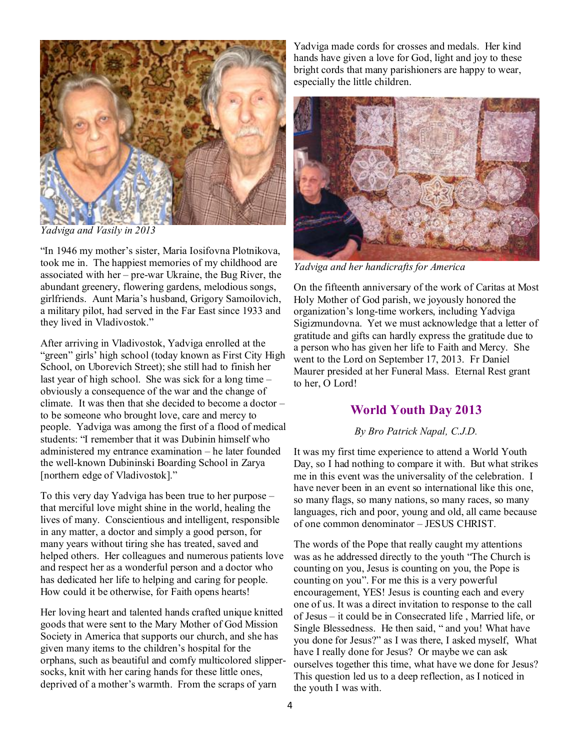

*Yadviga and Vasily in 2013* 

"In 1946 my mother's sister, Maria Iosifovna Plotnikova, took me in. The happiest memories of my childhood are associated with her – pre-war Ukraine, the Bug River, the abundant greenery, flowering gardens, melodious songs, girlfriends. Aunt Maria's husband, Grigory Samoilovich, a military pilot, had served in the Far East since 1933 and they lived in Vladivostok."

After arriving in Vladivostok, Yadviga enrolled at the "green" girls' high school (today known as First City High School, on Uborevich Street); she still had to finish her last year of high school. She was sick for a long time – obviously a consequence of the war and the change of climate. It was then that she decided to become a doctor – to be someone who brought love, care and mercy to people. Yadviga was among the first of a flood of medical students: "I remember that it was Dubinin himself who administered my entrance examination – he later founded the well-known Dubininski Boarding School in Zarya [northern edge of Vladivostok]."

To this very day Yadviga has been true to her purpose – that merciful love might shine in the world, healing the lives of many. Conscientious and intelligent, responsible in any matter, a doctor and simply a good person, for many years without tiring she has treated, saved and helped others. Her colleagues and numerous patients love and respect her as a wonderful person and a doctor who has dedicated her life to helping and caring for people. How could it be otherwise, for Faith opens hearts!

Her loving heart and talented hands crafted unique knitted goods that were sent to the Mary Mother of God Mission Society in America that supports our church, and she has given many items to the children's hospital for the orphans, such as beautiful and comfy multicolored slippersocks, knit with her caring hands for these little ones, deprived of a mother's warmth. From the scraps of yarn

Yadviga made cords for crosses and medals. Her kind hands have given a love for God, light and joy to these bright cords that many parishioners are happy to wear, especially the little children.



*Yadviga and her handicrafts for America* 

On the fifteenth anniversary of the work of Caritas at Most Holy Mother of God parish, we joyously honored the organization's long-time workers, including Yadviga Sigizmundovna. Yet we must acknowledge that a letter of gratitude and gifts can hardly express the gratitude due to a person who has given her life to Faith and Mercy. She went to the Lord on September 17, 2013. Fr Daniel Maurer presided at her Funeral Mass. Eternal Rest grant to her, O Lord!

#### **World Youth Day 2013**

#### *By Bro Patrick Napal, C.J.D.*

It was my first time experience to attend a World Youth Day, so I had nothing to compare it with. But what strikes me in this event was the universality of the celebration. I have never been in an event so international like this one, so many flags, so many nations, so many races, so many languages, rich and poor, young and old, all came because of one common denominator – JESUS CHRIST.

The words of the Pope that really caught my attentions was as he addressed directly to the youth "The Church is counting on you, Jesus is counting on you, the Pope is counting on you". For me this is a very powerful encouragement, YES! Jesus is counting each and every one of us. It was a direct invitation to response to the call of Jesus – it could be in Consecrated life , Married life, or Single Blessedness. He then said, " and you! What have you done for Jesus?" as I was there, I asked myself, What have I really done for Jesus? Or maybe we can ask ourselves together this time, what have we done for Jesus? This question led us to a deep reflection, as I noticed in the youth I was with.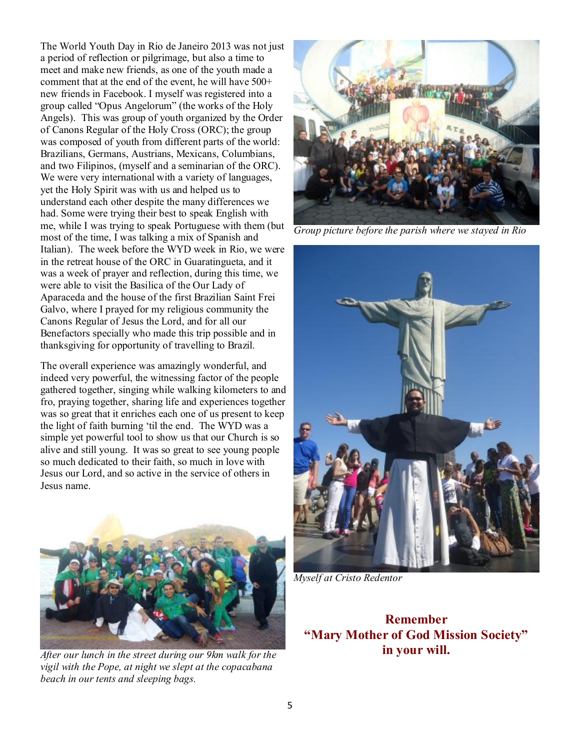The World Youth Day in Rio de Janeiro 2013 was not just a period of reflection or pilgrimage, but also a time to meet and make new friends, as one of the youth made a comment that at the end of the event, he will have 500+ new friends in Facebook. I myself was registered into a group called "Opus Angelorum" (the works of the Holy Angels). This was group of youth organized by the Order of Canons Regular of the Holy Cross (ORC); the group was composed of youth from different parts of the world: Brazilians, Germans, Austrians, Mexicans, Columbians, and two Filipinos, (myself and a seminarian of the ORC). We were very international with a variety of languages, yet the Holy Spirit was with us and helped us to understand each other despite the many differences we had. Some were trying their best to speak English with me, while I was trying to speak Portuguese with them (but most of the time, I was talking a mix of Spanish and Italian). The week before the WYD week in Rio, we were in the retreat house of the ORC in Guaratingueta, and it was a week of prayer and reflection, during this time, we were able to visit the Basilica of the Our Lady of Aparaceda and the house of the first Brazilian Saint Frei Galvo, where I prayed for my religious community the Canons Regular of Jesus the Lord, and for all our Benefactors specially who made this trip possible and in thanksgiving for opportunity of travelling to Brazil.

The overall experience was amazingly wonderful, and indeed very powerful, the witnessing factor of the people gathered together, singing while walking kilometers to and fro, praying together, sharing life and experiences together was so great that it enriches each one of us present to keep the light of faith burning 'til the end. The WYD was a simple yet powerful tool to show us that our Church is so alive and still young. It was so great to see young people so much dedicated to their faith, so much in love with Jesus our Lord, and so active in the service of others in Jesus name.



*After our lunch in the street during our 9km walk for the vigil with the Pope, at night we slept at the copacabana beach in our tents and sleeping bags.* 



*Group picture before the parish where we stayed in Rio* 



*Myself at Cristo Redentor* 

**Remember "Mary Mother of God Mission Society" in your will.**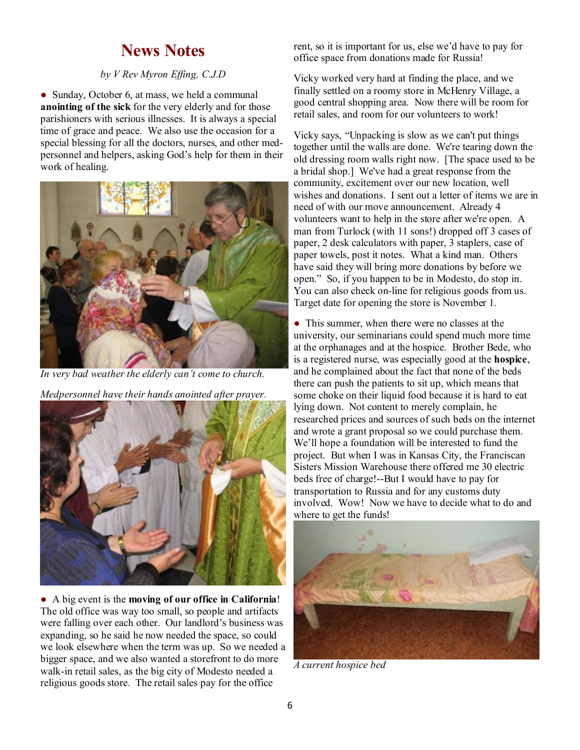## **News Notes**

#### *by V Rev Myron Effing, C.J.D*

• Sunday, October 6, at mass, we held a communal **anointing of the sick** for the very elderly and for those parishioners with serious illnesses. It is always a special time of grace and peace. We also use the occasion for a special blessing for all the doctors, nurses, and other medpersonnel and helpers, asking God's help for them in their work of healing.



*In very bad weather the elderly can't come to church.* 

*Medpersonnel have their hands anointed after prayer.* 



● A big event is the **moving of our office in California**! The old office was way too small, so people and artifacts were falling over each other. Our landlord's business was expanding, so he said he now needed the space, so could we look elsewhere when the term was up. So we needed a bigger space, and we also wanted a storefront to do more walk-in retail sales, as the big city of Modesto needed a religious goods store. The retail sales pay for the office

rent, so it is important for us, else we'd have to pay for office space from donations made for Russia!

Vicky worked very hard at finding the place, and we finally settled on a roomy store in McHenry Village, a good central shopping area. Now there will be room for retail sales, and room for our volunteers to work!

Vicky says, "Unpacking is slow as we can't put things together until the walls are done. We're tearing down the old dressing room walls right now. [The space used to be a bridal shop.] We've had a great response from the community, excitement over our new location, well wishes and donations. I sent out a letter of items we are in need of with our move announcement. Already 4 volunteers want to help in the store after we're open. A man from Turlock (with 11 sons!) dropped off 3 cases of paper, 2 desk calculators with paper, 3 staplers, case of paper towels, post it notes. What a kind man. Others have said they will bring more donations by before we open." So, if you happen to be in Modesto, do stop in. You can also check on-line for religious goods from us. Target date for opening the store is November 1.

• This summer, when there were no classes at the university, our seminarians could spend much more time at the orphanages and at the hospice. Brother Bede, who is a registered nurse, was especially good at the **hospice**, and he complained about the fact that none of the beds there can push the patients to sit up, which means that some choke on their liquid food because it is hard to eat lying down. Not content to merely complain, he researched prices and sources of such beds on the internet and wrote a grant proposal so we could purchase them. We'll hope a foundation will be interested to fund the project. But when I was in Kansas City, the Franciscan Sisters Mission Warehouse there offered me 30 electric beds free of charge!--But I would have to pay for transportation to Russia and for any customs duty involved. Wow! Now we have to decide what to do and where to get the funds!



*A current hospice bed*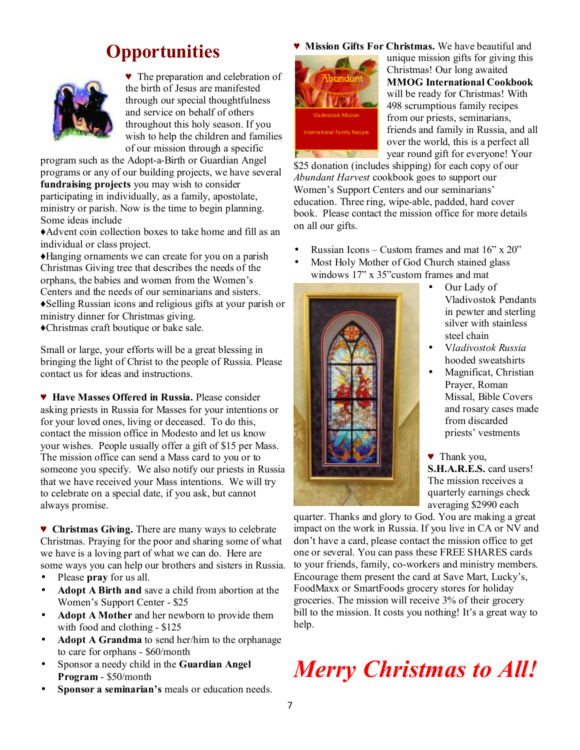# **Opportunities**



♥ The preparation and celebration of the birth of Jesus are manifested through our special thoughtfulness and service on behalf of others throughout this holy season. If you wish to help the children and families of our mission through a specific

program such as the Adopt-a-Birth or Guardian Angel programs or any of our building projects, we have several **fundraising projects** you may wish to consider participating in individually, as a family, apostolate, ministry or parish. Now is the time to begin planning. Some ideas include

♦Advent coin collection boxes to take home and fill as an individual or class project.

♦Hanging ornaments we can create for you on a parish Christmas Giving tree that describes the needs of the orphans, the babies and women from the Women's Centers and the needs of our seminarians and sisters. ♦Selling Russian icons and religious gifts at your parish or ministry dinner for Christmas giving. ♦Christmas craft boutique or bake sale.

Small or large, your efforts will be a great blessing in bringing the light of Christ to the people of Russia. Please contact us for ideas and instructions.

♥ **Have Masses Offered in Russia.** Please consider asking priests in Russia for Masses for your intentions or for your loved ones, living or deceased. To do this, contact the mission office in Modesto and let us know your wishes. People usually offer a gift of \$15 per Mass. The mission office can send a Mass card to you or to someone you specify. We also notify our priests in Russia that we have received your Mass intentions. We will try to celebrate on a special date, if you ask, but cannot always promise.

♥ **Christmas Giving.** There are many ways to celebrate Christmas. Praying for the poor and sharing some of what we have is a loving part of what we can do. Here are some ways you can help our brothers and sisters in Russia.

- Please **pray** for us all.
- **Adopt A Birth and** save a child from abortion at the Women's Support Center - \$25
- **Adopt A Mother** and her newborn to provide them with food and clothing - \$125
- **Adopt A Grandma** to send her/him to the orphanage to care for orphans - \$60/month
- Sponsor a needy child in the **Guardian Angel Program** - \$50/month
- **Sponsor a seminarian's** meals or education needs.

**Mission Gifts For Christmas.** We have beautiful and



unique mission gifts for giving this Christmas! Our long awaited **MMOG International Cookbook** will be ready for Christmas! With 498 scrumptious family recipes from our priests, seminarians, friends and family in Russia, and all over the world, this is a perfect all year round gift for everyone! Your

\$25 donation (includes shipping) for each copy of our *Abundant Harvest* cookbook goes to support our Women's Support Centers and our seminarians' education. Three ring, wipe-able, padded, hard cover book. Please contact the mission office for more details on all our gifts.

- Russian Icons Custom frames and mat  $16$ " x  $20$ "
- Most Holy Mother of God Church stained glass windows 17" x 35"custom frames and mat



- Our Lady of Vladivostok Pendants in pewter and sterling silver with stainless steel chain
- V*ladivostok Russia*  hooded sweatshirts
- Magnificat, Christian Prayer, Roman Missal, Bible Covers and rosary cases made from discarded priests' vestments
- ♥ Thank you, **S.H.A.R.E.S.** card users! The mission receives a quarterly earnings check averaging \$2990 each

quarter. Thanks and glory to God. You are making a great impact on the work in Russia. If you live in CA or NV and don't have a card, please contact the mission office to get one or several. You can pass these FREE SHARES cards to your friends, family, co-workers and ministry members. Encourage them present the card at Save Mart, Lucky's, FoodMaxx or SmartFoods grocery stores for holiday groceries. The mission will receive 3% of their grocery bill to the mission. It costs you nothing! It's a great way to help.

# *Merry Christmas to All!*